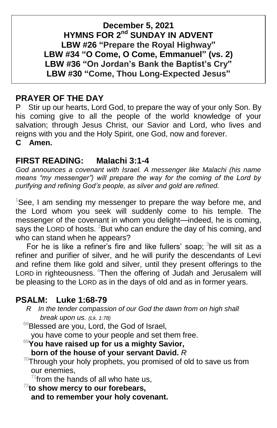### **December 5, 2021 HYMNS FOR 2 nd SUNDAY IN ADVENT LBW #26 "Prepare the Royal Highway" LBW #34 "O Come, O Come, Emmanuel" (vs. 2) LBW #36 "On Jordan's Bank the Baptist's Cry" LBW #30 "Come, Thou Long-Expected Jesus"**

#### **PRAYER OF THE DAY**

P Stir up our hearts, Lord God, to prepare the way of your only Son. By his coming give to all the people of the world knowledge of your salvation; through Jesus Christ, our Savior and Lord, who lives and reigns with you and the Holy Spirit, one God, now and forever. **C Amen.**

### **FIRST READING: Malachi 3:1-4**

God announces a covenant with Israel. A messenger like Malachi (his name *means "my messenger") will prepare the way for the coming of the Lord by purifying and refining God's people, as silver and gold are refined.*

 $1$ See, I am sending my messenger to prepare the way before me, and the Lord whom you seek will suddenly come to his temple. The messenger of the covenant in whom you delight—indeed, he is coming, says the LORD of hosts. <sup>2</sup>But who can endure the day of his coming, and who can stand when he appears?

For he is like a refiner's fire and like fullers' soap;  ${}^{3}$ he will sit as a refiner and purifier of silver, and he will purify the descendants of Levi and refine them like gold and silver, until they present offerings to the LORD in righteousness. <sup>4</sup>Then the offering of Judah and Jerusalem will be pleasing to the LORD as in the days of old and as in former years.

### **PSALM: Luke 1:68-79**

 *R In the tender compassion of our God the dawn from on high shall break upon us. (Lk. 1:78)*

68Blessed are you, Lord, the God of Israel,

you have come to your people and set them free.

<sup>69</sup>**You have raised up for us a mighty Savior, born of the house of your servant David.** *R*

 $70$ Through your holy prophets, you promised of old to save us from our enemies,

 $71$ from the hands of all who hate us.

<sup>72</sup>**to show mercy to our forebears, and to remember your holy covenant.**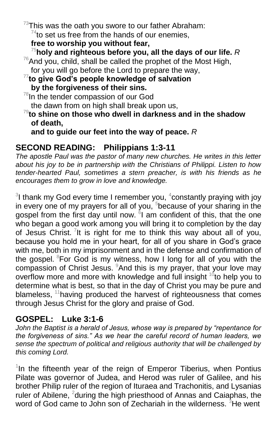$73$ This was the oath you swore to our father Abraham:  $74$ to set us free from the hands of our enemies.

# **free to worship you without fear,**

<sup>75</sup>**holy and righteous before you, all the days of our life.** *R*

 $76$ And you, child, shall be called the prophet of the Most High, for you will go before the Lord to prepare the way,

# <sup>77</sup>**to give God's people knowledge of salvation by the forgiveness of their sins.**

 $78$ In the tender compassion of our God the dawn from on high shall break upon us,

<sup>79</sup>**to shine on those who dwell in darkness and in the shadow of death,**

**and to guide our feet into the way of peace.** *R*

# **SECOND READING: Philippians 1:3-11**

*The apostle Paul was the pastor of many new churches. He writes in this letter about his joy to be in partnership with the Christians of Philippi. Listen to how tender-hearted Paul, sometimes a stern preacher, is with his friends as he encourages them to grow in love and knowledge.*

 $3$ I thank my God every time I remember you,  $4$ constantly praying with joy in every one of my prayers for all of you, <sup>5</sup>because of your sharing in the gospel from the first day until now. <sup>6</sup>I am confident of this, that the one who began a good work among you will bring it to completion by the day of Jesus Christ. <sup>7</sup>It is right for me to think this way about all of you, because you hold me in your heart, for all of you share in God's grace with me, both in my imprisonment and in the defense and confirmation of the gospel.  ${}^{8}$ For God is my witness, how I long for all of you with the compassion of Christ Jesus. <sup>9</sup>And this is my prayer, that your love may overflow more and more with knowledge and full insight  $10$  to help you to determine what is best, so that in the day of Christ you may be pure and blameless, <sup>11</sup> having produced the harvest of righteousness that comes through Jesus Christ for the glory and praise of God.

# **GOSPEL: Luke 3:1-6**

*John the Baptist is a herald of Jesus, whose way is prepared by "repentance for the forgiveness of sins." As we hear the careful record of human leaders, we sense the spectrum of political and religious authority that will be challenged by this coming Lord.*

 $1$ In the fifteenth year of the reign of Emperor Tiberius, when Pontius Pilate was governor of Judea, and Herod was ruler of Galilee, and his brother Philip ruler of the region of Ituraea and Trachonitis, and Lysanias ruler of Abilene, <sup>2</sup>during the high priesthood of Annas and Caiaphas, the word of God came to John son of Zechariah in the wilderness.  $3$ He went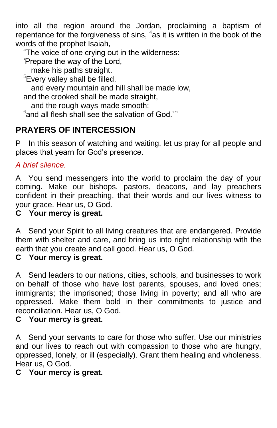into all the region around the Jordan, proclaiming a baptism of repentance for the forgiveness of sins,  $4a$ s it is written in the book of the words of the prophet Isaiah,

"The voice of one crying out in the wilderness:

'Prepare the way of the Lord,

make his paths straight.

 $5$ Every valley shall be filled,

and every mountain and hill shall be made low,

and the crooked shall be made straight,

and the rough ways made smooth;

 $6$  and all flesh shall see the salvation of God.'"

# **PRAYERS OF INTERCESSION**

P In this season of watching and waiting, let us pray for all people and places that yearn for God's presence.

#### *A brief silence.*

A You send messengers into the world to proclaim the day of your coming. Make our bishops, pastors, deacons, and lay preachers confident in their preaching, that their words and our lives witness to your grace. Hear us, O God.

# **C Your mercy is great.**

A Send your Spirit to all living creatures that are endangered. Provide them with shelter and care, and bring us into right relationship with the earth that you create and call good. Hear us, O God.

### **C Your mercy is great.**

A Send leaders to our nations, cities, schools, and businesses to work on behalf of those who have lost parents, spouses, and loved ones; immigrants; the imprisoned; those living in poverty; and all who are oppressed. Make them bold in their commitments to justice and reconciliation. Hear us, O God.

### **C Your mercy is great.**

A Send your servants to care for those who suffer. Use our ministries and our lives to reach out with compassion to those who are hungry, oppressed, lonely, or ill (especially). Grant them healing and wholeness. Hear us, O God.

# **C Your mercy is great.**